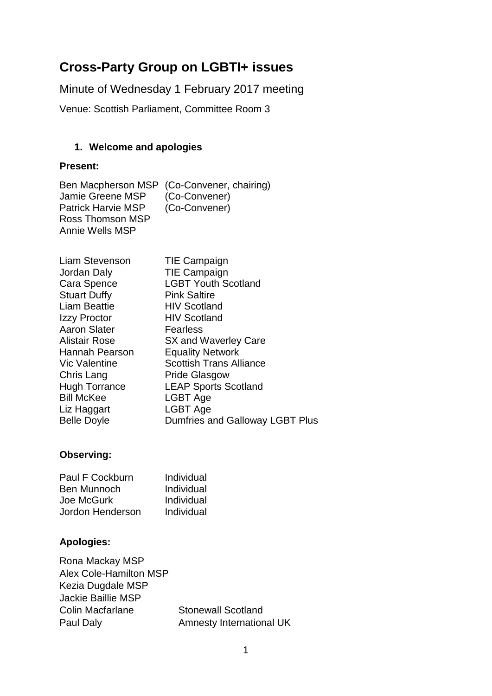# **Cross-Party Group on LGBTI+ issues**

Minute of Wednesday 1 February 2017 meeting

Venue: Scottish Parliament, Committee Room 3

#### **1. Welcome and apologies**

#### **Present:**

Ben Macpherson MSP (Co-Convener, chairing)<br>Jamie Greene MSP (Co-Convener) Jamie Greene MSP (Co-Convener)<br>Patrick Harvie MSP (Co-Convener) Patrick Harvie MSP Ross Thomson MSP Annie Wells MSP

| Liam Stevenson       | <b>TIE Campaign</b>             |
|----------------------|---------------------------------|
| Jordan Daly          | <b>TIE Campaign</b>             |
| Cara Spence          | <b>LGBT Youth Scotland</b>      |
| <b>Stuart Duffy</b>  | <b>Pink Saltire</b>             |
| <b>Liam Beattie</b>  | <b>HIV Scotland</b>             |
| Izzy Proctor         | <b>HIV Scotland</b>             |
| <b>Aaron Slater</b>  | <b>Fearless</b>                 |
| <b>Alistair Rose</b> | SX and Waverley Care            |
| Hannah Pearson       | <b>Equality Network</b>         |
| <b>Vic Valentine</b> | <b>Scottish Trans Alliance</b>  |
| Chris Lang           | <b>Pride Glasgow</b>            |
| <b>Hugh Torrance</b> | <b>LEAP Sports Scotland</b>     |
| <b>Bill McKee</b>    | LGBT Age                        |
| Liz Haggart          | LGBT Age                        |
| <b>Belle Doyle</b>   | Dumfries and Galloway LGBT Plus |

#### **Observing:**

| Paul F Cockburn    | Individual |
|--------------------|------------|
| <b>Ben Munnoch</b> | Individual |
| Joe McGurk         | Individual |
| Jordon Henderson   | Individual |

#### **Apologies:**

| Rona Mackay MSP               |                           |
|-------------------------------|---------------------------|
| <b>Alex Cole-Hamilton MSP</b> |                           |
| Kezia Dugdale MSP             |                           |
| <b>Jackie Baillie MSP</b>     |                           |
| <b>Colin Macfarlane</b>       | <b>Stonewall Scotland</b> |
| Paul Daly                     | Amnesty International UK  |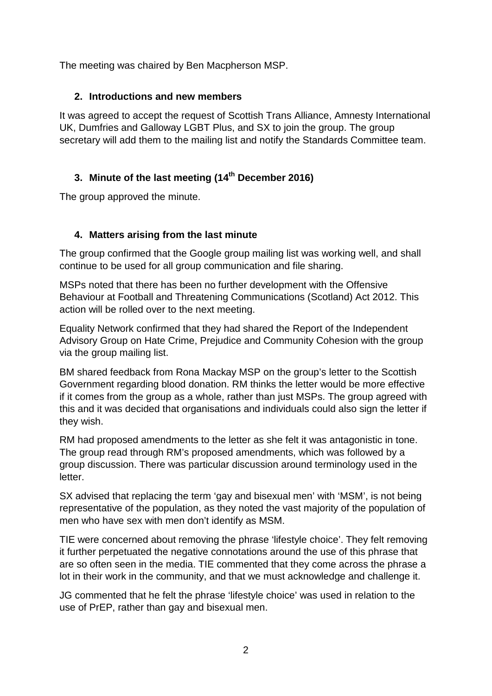The meeting was chaired by Ben Macpherson MSP.

#### **2. Introductions and new members**

It was agreed to accept the request of Scottish Trans Alliance, Amnesty International UK, Dumfries and Galloway LGBT Plus, and SX to join the group. The group secretary will add them to the mailing list and notify the Standards Committee team.

## **3. Minute of the last meeting (14th December 2016)**

The group approved the minute.

## **4. Matters arising from the last minute**

The group confirmed that the Google group mailing list was working well, and shall continue to be used for all group communication and file sharing.

MSPs noted that there has been no further development with the Offensive Behaviour at Football and Threatening Communications (Scotland) Act 2012. This action will be rolled over to the next meeting.

Equality Network confirmed that they had shared the Report of the Independent Advisory Group on Hate Crime, Prejudice and Community Cohesion with the group via the group mailing list.

BM shared feedback from Rona Mackay MSP on the group's letter to the Scottish Government regarding blood donation. RM thinks the letter would be more effective if it comes from the group as a whole, rather than just MSPs. The group agreed with this and it was decided that organisations and individuals could also sign the letter if they wish.

RM had proposed amendments to the letter as she felt it was antagonistic in tone. The group read through RM's proposed amendments, which was followed by a group discussion. There was particular discussion around terminology used in the letter.

SX advised that replacing the term 'gay and bisexual men' with 'MSM', is not being representative of the population, as they noted the vast majority of the population of men who have sex with men don't identify as MSM.

TIE were concerned about removing the phrase 'lifestyle choice'. They felt removing it further perpetuated the negative connotations around the use of this phrase that are so often seen in the media. TIE commented that they come across the phrase a lot in their work in the community, and that we must acknowledge and challenge it.

JG commented that he felt the phrase 'lifestyle choice' was used in relation to the use of PrEP, rather than gay and bisexual men.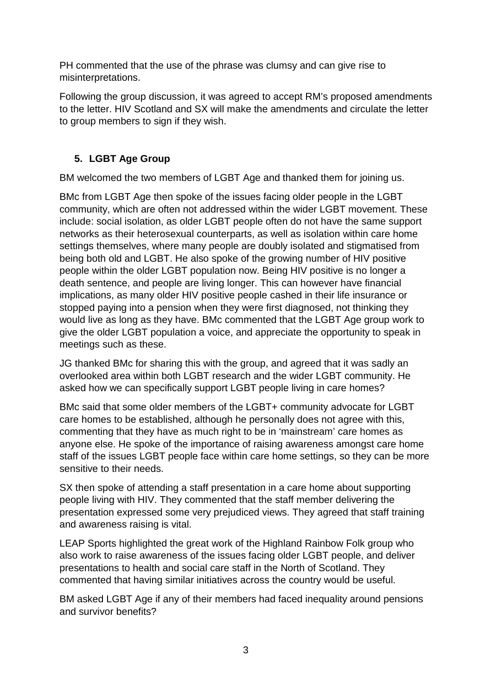PH commented that the use of the phrase was clumsy and can give rise to misinterpretations.

Following the group discussion, it was agreed to accept RM's proposed amendments to the letter. HIV Scotland and SX will make the amendments and circulate the letter to group members to sign if they wish.

# **5. LGBT Age Group**

BM welcomed the two members of LGBT Age and thanked them for joining us.

BMc from LGBT Age then spoke of the issues facing older people in the LGBT community, which are often not addressed within the wider LGBT movement. These include: social isolation, as older LGBT people often do not have the same support networks as their heterosexual counterparts, as well as isolation within care home settings themselves, where many people are doubly isolated and stigmatised from being both old and LGBT. He also spoke of the growing number of HIV positive people within the older LGBT population now. Being HIV positive is no longer a death sentence, and people are living longer. This can however have financial implications, as many older HIV positive people cashed in their life insurance or stopped paying into a pension when they were first diagnosed, not thinking they would live as long as they have. BMc commented that the LGBT Age group work to give the older LGBT population a voice, and appreciate the opportunity to speak in meetings such as these.

JG thanked BMc for sharing this with the group, and agreed that it was sadly an overlooked area within both LGBT research and the wider LGBT community. He asked how we can specifically support LGBT people living in care homes?

BMc said that some older members of the LGBT+ community advocate for LGBT care homes to be established, although he personally does not agree with this, commenting that they have as much right to be in 'mainstream' care homes as anyone else. He spoke of the importance of raising awareness amongst care home staff of the issues LGBT people face within care home settings, so they can be more sensitive to their needs.

SX then spoke of attending a staff presentation in a care home about supporting people living with HIV. They commented that the staff member delivering the presentation expressed some very prejudiced views. They agreed that staff training and awareness raising is vital.

LEAP Sports highlighted the great work of the Highland Rainbow Folk group who also work to raise awareness of the issues facing older LGBT people, and deliver presentations to health and social care staff in the North of Scotland. They commented that having similar initiatives across the country would be useful.

BM asked LGBT Age if any of their members had faced inequality around pensions and survivor benefits?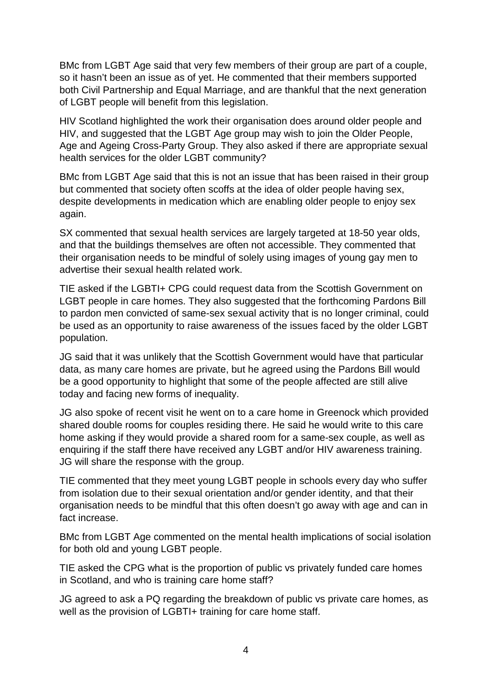BMc from LGBT Age said that very few members of their group are part of a couple, so it hasn't been an issue as of yet. He commented that their members supported both Civil Partnership and Equal Marriage, and are thankful that the next generation of LGBT people will benefit from this legislation.

HIV Scotland highlighted the work their organisation does around older people and HIV, and suggested that the LGBT Age group may wish to join the Older People, Age and Ageing Cross-Party Group. They also asked if there are appropriate sexual health services for the older LGBT community?

BMc from LGBT Age said that this is not an issue that has been raised in their group but commented that society often scoffs at the idea of older people having sex, despite developments in medication which are enabling older people to enjoy sex again.

SX commented that sexual health services are largely targeted at 18-50 year olds, and that the buildings themselves are often not accessible. They commented that their organisation needs to be mindful of solely using images of young gay men to advertise their sexual health related work.

TIE asked if the LGBTI+ CPG could request data from the Scottish Government on LGBT people in care homes. They also suggested that the forthcoming Pardons Bill to pardon men convicted of same-sex sexual activity that is no longer criminal, could be used as an opportunity to raise awareness of the issues faced by the older LGBT population.

JG said that it was unlikely that the Scottish Government would have that particular data, as many care homes are private, but he agreed using the Pardons Bill would be a good opportunity to highlight that some of the people affected are still alive today and facing new forms of inequality.

JG also spoke of recent visit he went on to a care home in Greenock which provided shared double rooms for couples residing there. He said he would write to this care home asking if they would provide a shared room for a same-sex couple, as well as enquiring if the staff there have received any LGBT and/or HIV awareness training. JG will share the response with the group.

TIE commented that they meet young LGBT people in schools every day who suffer from isolation due to their sexual orientation and/or gender identity, and that their organisation needs to be mindful that this often doesn't go away with age and can in fact increase.

BMc from LGBT Age commented on the mental health implications of social isolation for both old and young LGBT people.

TIE asked the CPG what is the proportion of public vs privately funded care homes in Scotland, and who is training care home staff?

JG agreed to ask a PQ regarding the breakdown of public vs private care homes, as well as the provision of LGBTI+ training for care home staff.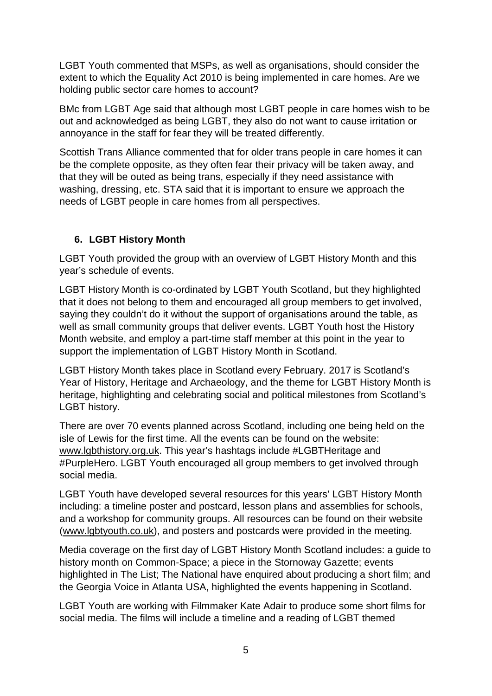LGBT Youth commented that MSPs, as well as organisations, should consider the extent to which the Equality Act 2010 is being implemented in care homes. Are we holding public sector care homes to account?

BMc from LGBT Age said that although most LGBT people in care homes wish to be out and acknowledged as being LGBT, they also do not want to cause irritation or annoyance in the staff for fear they will be treated differently.

Scottish Trans Alliance commented that for older trans people in care homes it can be the complete opposite, as they often fear their privacy will be taken away, and that they will be outed as being trans, especially if they need assistance with washing, dressing, etc. STA said that it is important to ensure we approach the needs of LGBT people in care homes from all perspectives.

#### **6. LGBT History Month**

LGBT Youth provided the group with an overview of LGBT History Month and this year's schedule of events.

LGBT History Month is co-ordinated by LGBT Youth Scotland, but they highlighted that it does not belong to them and encouraged all group members to get involved, saying they couldn't do it without the support of organisations around the table, as well as small community groups that deliver events. LGBT Youth host the History Month website, and employ a part-time staff member at this point in the year to support the implementation of LGBT History Month in Scotland.

LGBT History Month takes place in Scotland every February. 2017 is Scotland's Year of History, Heritage and Archaeology, and the theme for LGBT History Month is heritage, highlighting and celebrating social and political milestones from Scotland's LGBT history.

There are over 70 events planned across Scotland, including one being held on the isle of Lewis for the first time. All the events can be found on the website: [www.lgbthistory.org.uk.](http://www.lgbthistory.org.uk/) This year's hashtags include #LGBTHeritage and #PurpleHero. LGBT Youth encouraged all group members to get involved through social media.

LGBT Youth have developed several resources for this years' LGBT History Month including: a timeline poster and postcard, lesson plans and assemblies for schools, and a workshop for community groups. All resources can be found on their website [\(www.lgbtyouth.co.uk\)](http://www.lgbtyouth.co.uk/), and posters and postcards were provided in the meeting.

Media coverage on the first day of LGBT History Month Scotland includes: a guide to history month on Common-Space; a piece in the Stornoway Gazette; events highlighted in The List; The National have enquired about producing a short film; and the Georgia Voice in Atlanta USA, highlighted the events happening in Scotland.

LGBT Youth are working with Filmmaker Kate Adair to produce some short films for social media. The films will include a timeline and a reading of LGBT themed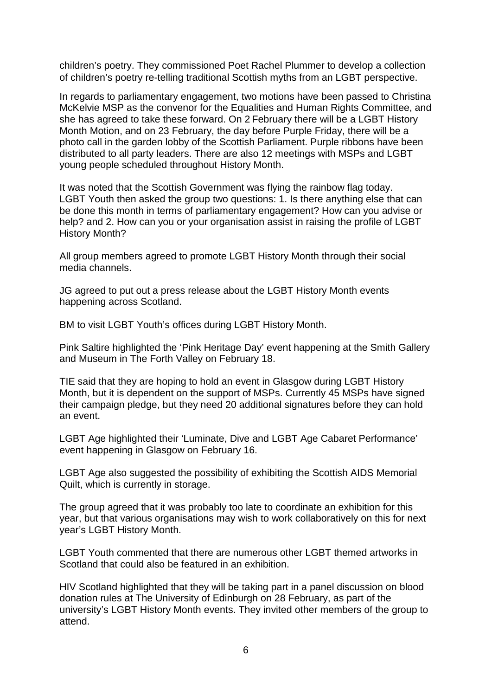children's poetry. They commissioned Poet Rachel Plummer to develop a collection of children's poetry re-telling traditional Scottish myths from an LGBT perspective.

In regards to parliamentary engagement, two motions have been passed to Christina McKelvie MSP as the convenor for the Equalities and Human Rights Committee, and she has agreed to take these forward. On 2 February there will be a LGBT History Month Motion, and on 23 February, the day before Purple Friday, there will be a photo call in the garden lobby of the Scottish Parliament. Purple ribbons have been distributed to all party leaders. There are also 12 meetings with MSPs and LGBT young people scheduled throughout History Month.

It was noted that the Scottish Government was flying the rainbow flag today. LGBT Youth then asked the group two questions: 1. Is there anything else that can be done this month in terms of parliamentary engagement? How can you advise or help? and 2. How can you or your organisation assist in raising the profile of LGBT History Month?

All group members agreed to promote LGBT History Month through their social media channels.

JG agreed to put out a press release about the LGBT History Month events happening across Scotland.

BM to visit LGBT Youth's offices during LGBT History Month.

Pink Saltire highlighted the 'Pink Heritage Day' event happening at the Smith Gallery and Museum in The Forth Valley on February 18.

TIE said that they are hoping to hold an event in Glasgow during LGBT History Month, but it is dependent on the support of MSPs. Currently 45 MSPs have signed their campaign pledge, but they need 20 additional signatures before they can hold an event.

LGBT Age highlighted their 'Luminate, Dive and LGBT Age Cabaret Performance' event happening in Glasgow on February 16.

LGBT Age also suggested the possibility of exhibiting the Scottish AIDS Memorial Quilt, which is currently in storage.

The group agreed that it was probably too late to coordinate an exhibition for this year, but that various organisations may wish to work collaboratively on this for next year's LGBT History Month.

LGBT Youth commented that there are numerous other LGBT themed artworks in Scotland that could also be featured in an exhibition.

HIV Scotland highlighted that they will be taking part in a panel discussion on blood donation rules at The University of Edinburgh on 28 February, as part of the university's LGBT History Month events. They invited other members of the group to attend.